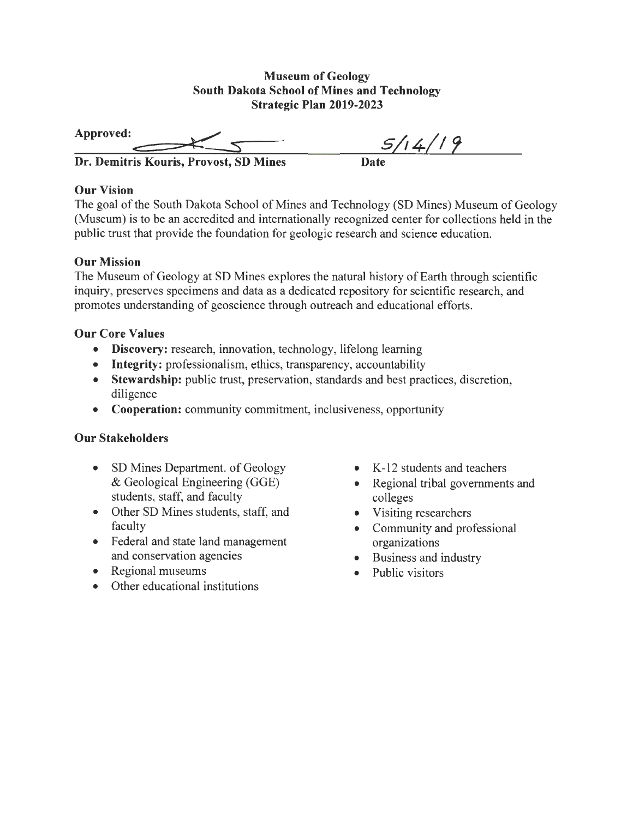#### **Museum of Geology South Dakota School of Mines and Technology Strategic Plan 2019-2023**

| Strategic Plan 2019-2023               |         |
|----------------------------------------|---------|
| Approved:                              | 5/14/19 |
| Dr. Demitris Kouris, Provost, SD Mines | Date    |

# **Our Vision**

The goal of the South Dakota School of Mines and Technology (SD Mines) Museum of Geology (Museum) is to be an accredited and internationally recognized center for collections held in the public trust that provide the foundation for geologic research and science education.

# **Our Mission**

The Museum of Geology at SD Mines explores the natural history of Earth through scientific inquiry, preserves specimens and data as a dedicated repository for scientific research, and promotes understanding of geoscience through outreach and educational efforts.

# **Our Core Values**

- **Discovery:** research, innovation, technology, lifelong learning
- **Integrity:** professionalism, ethics, transparency, accountability
- **Stewardship:** public trust, preservation, standards and best practices, discretion, diligence
- **Cooperation:** community commitment, inclusiveness, opportunity

# **Our Stakeholders**

- SD Mines Department. of Geology & Geological Engineering (GGE) students, staff, and faculty
- Other SD Mines students, staff, and faculty
- Federal and state land management and conservation agencies
- Regional museums
- Other educational institutions
- K-12 students and teachers
- Regional tribal governments and colleges
- Visiting researchers
- Community and professional organizations
- Business and industry
- Public visitors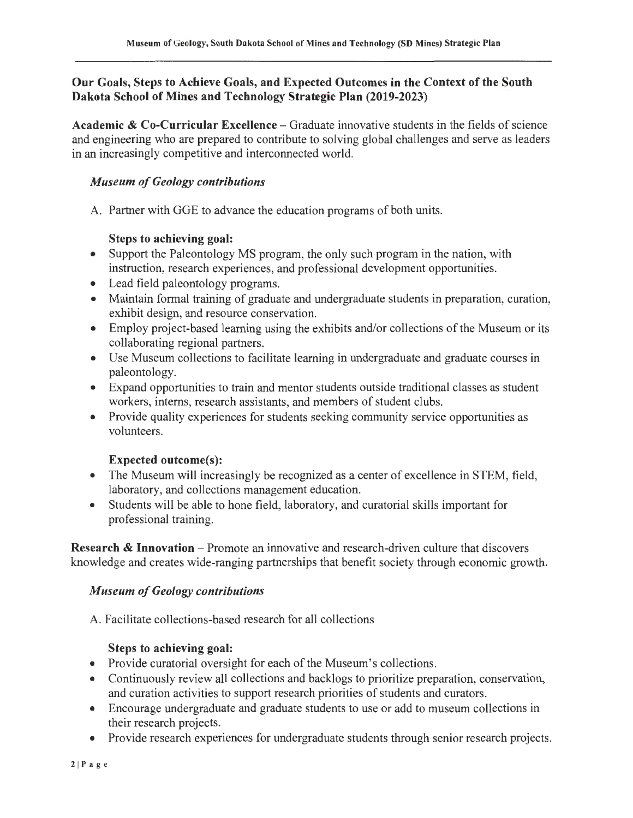# **Our Goals, Steps to Achieve Goals, and Expected Outcomes in the Context of the South Dakota School of Mines and Technology Strategic Plan (2019-2023)**

Academic & Co-Curricular Excellence – Graduate innovative students in the fields of science and engineering who are prepared to contribute to solving global challenges and serve as leaders in an increasingly competitive and interconnected world.

# *Museum of Geology contributions*

A. Partner with GGE to advance the education programs of both units.

#### **Steps to achieving goal:**

- Support the Paleontology MS program, the only such program in the nation, with instruction, research experiences, and professional development opportunities.
- Lead field paleontology programs.
- Maintain formal training of graduate and undergraduate students in preparation, curation, exhibit design, and resource conservation.
- Employ project-based learning using the exhibits and/or collections of the Museum or its collaborating regional partners.
- Use Museum collections to facilitate learning in undergraduate and graduate courses in paleontology.
- Expand opportunities to train and mentor students outside traditional classes as student workers, interns, research assistants, and members of student clubs.
- Provide quality experiences for students seeking community service opportunities as volunteers.

# **Expected outcome(s):**

- The Museum will increasingly be recognized as a center of excellence in STEM, field, laboratory, and collections management education.
- Students will be able to hone field, laboratory, and curatorial skills important for professional training.

**Research & Innovation** – Promote an innovative and research-driven culture that discovers knowledge and creates wide-ranging partnerships that benefit society through economic growth.

# *Museum of Geology contributions*

A. Facilitate collections-based research for all collections

# **Steps to achieving goal:**

- Provide curatorial oversight for each of the Museum's collections.
- Continuously review all collections and backlogs to prioritize preparation, conservation, and curation activities to support research priorities of students and curators.
- Encourage undergraduate and graduate students to use or add to museum collections in their research projects.
- Provide research experiences for undergraduate students through senior research projects.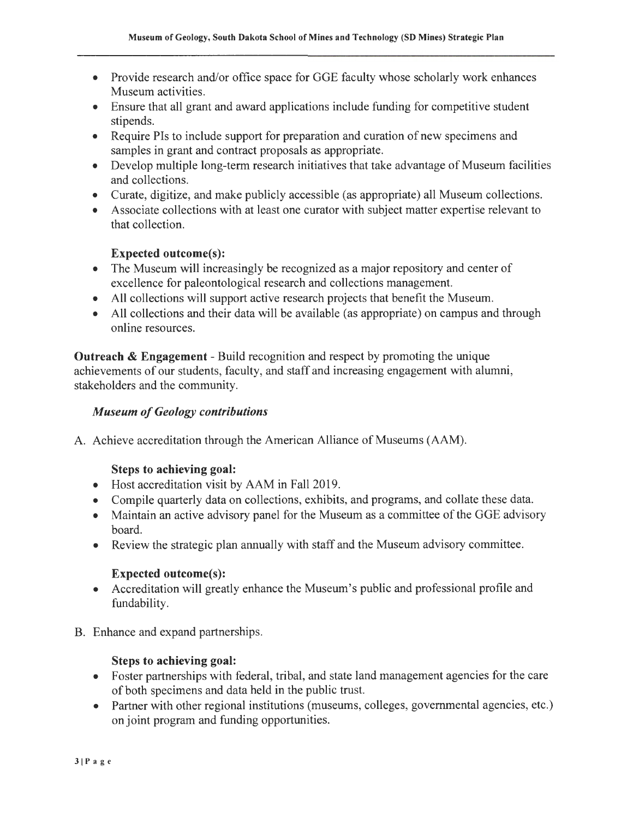- Provide research and/or office space for GGE faculty whose scholarly work enhances Museum activities.
- Ensure that all grant and award applications include funding for competitive student stipends.
- Require Pis to include support for preparation and curation of new specimens and samples in grant and contract proposals as appropriate.
- Develop multiple long-term research initiatives that take advantage of Museum facilities and collections.
- Curate, digitize, and make publicly accessible (as appropriate) all Museum collections.
- Associate collections with at least one curator with subject matter expertise relevant to that collection.

# **Expected outcome(s):**

- The Museum will increasingly be recognized as a major repository and center of excellence for paleontological research and collections management.
- All collections will support active research projects that benefit the Museum.
- All collections and their data will be available (as appropriate) on campus and through online resources.

**Outreach** & **Engagement** - Build recognition and respect by promoting the unique achievements of our students, faculty, and staff and increasing engagement with alumni, stakeholders and the community.

#### *Museum of Geology contributions*

A. Achieve accreditation through the American Alliance of Museums (AAM).

#### **Steps to achieving goal:**

- Host accreditation visit by AAM in Fall 2019.
- Compile quarterly data on collections, exhibits, and programs, and collate these data.
- Maintain an active advisory panel for the Museum as a committee of the GGE advisory board.
- Review the strategic plan annually with staff and the Museum advisory committee.

#### **Expected outcome(s):**

- Accreditation will greatly enhance the Museum's public and professional profile and fundability.
- B. Enhance and expand partnerships.

# **Steps to achieving goal:**

- Foster partnerships with federal, tribal, and state land management agencies for the care of both specimens and data held in the public trust.
- Partner with other regional institutions (museums, colleges, governmental agencies, etc.) on joint program and funding opportunities.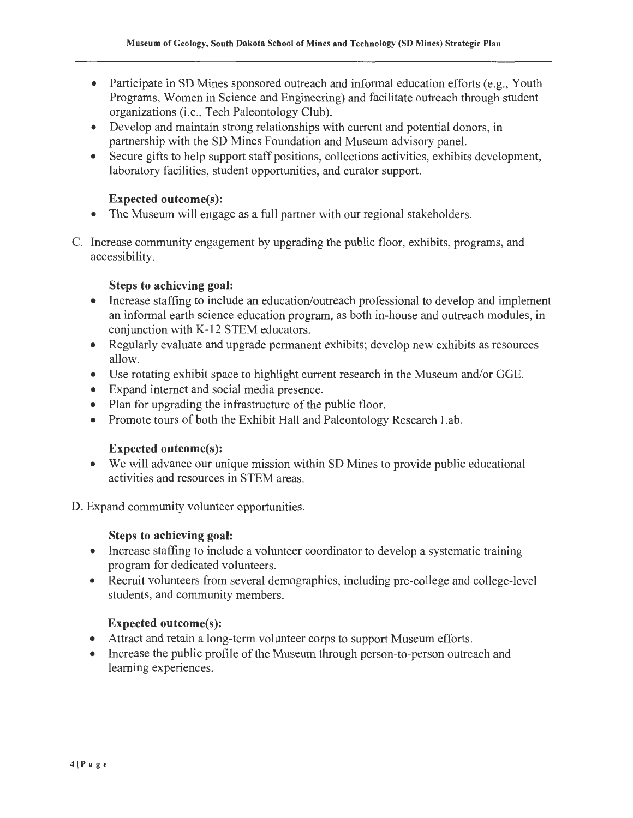- Participate in SD Mines sponsored outreach and informal education efforts (e.g., Youth Programs, Women in Science and Engineering) and facilitate outreach through student organizations (i.e., Tech Paleontology Club).
- Develop and maintain strong relationships with current and potential donors, in partnership with the SD Mines Foundation and Museum advisory panel.
- Secure gifts to help support staff positions, collections activities, exhibits development, laboratory facilities, student opportunities, and curator support.

# **Expected outcome(s):**

- The Museum will engage as a full partner with our regional stakeholders.
- C. Increase community engagement by upgrading the public floor, exhibits, programs, and accessibility.

# **Steps to achieving goal:**

- Increase staffing to include an education/outreach professional to develop and implement an informal earth science education program, as both in-house and outreach modules, in conjunction with K-12 STEM educators.
- Regularly evaluate and upgrade permanent exhibits; develop new exhibits as resources allow.
- Use rotating exhibit space to highlight current research in the Museum and/or GGE.
- Expand internet and social media presence.
- Plan for upgrading the infrastructure of the public floor.
- Promote tours of both the Exhibit Hall and Paleontology Research Lab.

# **Expected outcome(s):**

• We will advance our unique mission within SD Mines to provide public educational activities and resources in STEM areas.

D. Expand community volunteer opportunities.

# **Steps to achieving goal:**

- Increase staffing to include a volunteer coordinator to develop a systematic training program for dedicated volunteers.
- Recruit volunteers from several demographics, including pre-college and college-level students, and community members.

# **Expected outcome(s):**

- Attract and retain a long-term volunteer corps to support Museum efforts.
- Increase the public profile of the Museum through person-to-person outreach and learning experiences.